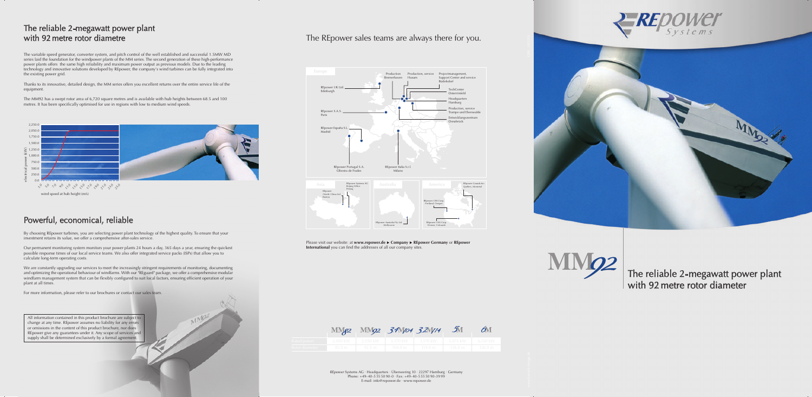## The reliable 2-mega watt power plant with 92 metre rotor diametre

The variable speed generator, converter system, and pitch control of the well established and successful 1.5MW MD series laid the foundation for the windpower plants of the MM series. The second generation of these high-performance power plants offers the same high reliability and maximum power output as previous models. Due to the leading technology and innovative solutions developed by REpower, the company's wind turbines can be fully integrated into the existing power grid.

Thanks to its innovative, detailed design, the MM series offers you excellent returns over the entire service life of the equipment.

The MM92 has a swept rotor area of 6,720 square metres and is available with hub heights between 68.5 and 100 metres. It has been specifically optimised for use in regions with low to medium wind speeds.

# Powerful, economical, reliable

By choosing REpower turbines, you are selecting power plant technology of the highest quality. To ensure that your investment retains its value, we offer a comprehensive after-sales service.

Our permanent monitoring system monitors your power plants 24 hours a day, 365 days a year, ensuring the quickest possible response times of our local service teams. We also offer integrated service packs (ISPs) that allow you to calculate long-term operating costs.

> *REpower* Systems AG · Headquarters · Uberseering 10 · 22297 Hamburg · Germany Phone: +4 9-40-5 55 50 90-0 · Fax: +4 9-40-5 55 50 90-39 99 E-mail: in fo@ repowe r . de · www. repowe r . d e







The reliable 2-mega watt power plant with 92 metre rotor diameter



We are constantly upgrading our services to meet the increasingly stringent requirements of monitoring, documenting and optimizing the operational behaviour of windfarms. With our "REguard" package, we offer a comprehensive modular windfarm management system that can be flexibly configured to suit local factors, ensuring efficient operation of your plant at all times.

For more information, please refer to our brochures or contact our sales team.



All information contained in this product brochure are subject to change at any time. REpower assumes no liability for any errors or omissions in the content of this product brochure, nor does REpower give any guarantees under it. Any scope of services and supply shall be determined exclusively by a formal agreement.

# The REpower sales teams are always there for you.



Please visit our website: at **www.repower.de ► Company ► REpower Germany** or **REpower International** you can find the addresses of all our company sites.

|                | M M 2      |                  | $M\Omega$ 3.4 $M$ 04 |
|----------------|------------|------------------|----------------------|
| Rated power    | $2.050$ kW | 2.050 kW         | 3.370 kW             |
| Rotor diameter | 82.0 m     | $92.5 \text{ m}$ | $104.0 \text{ m}$    |